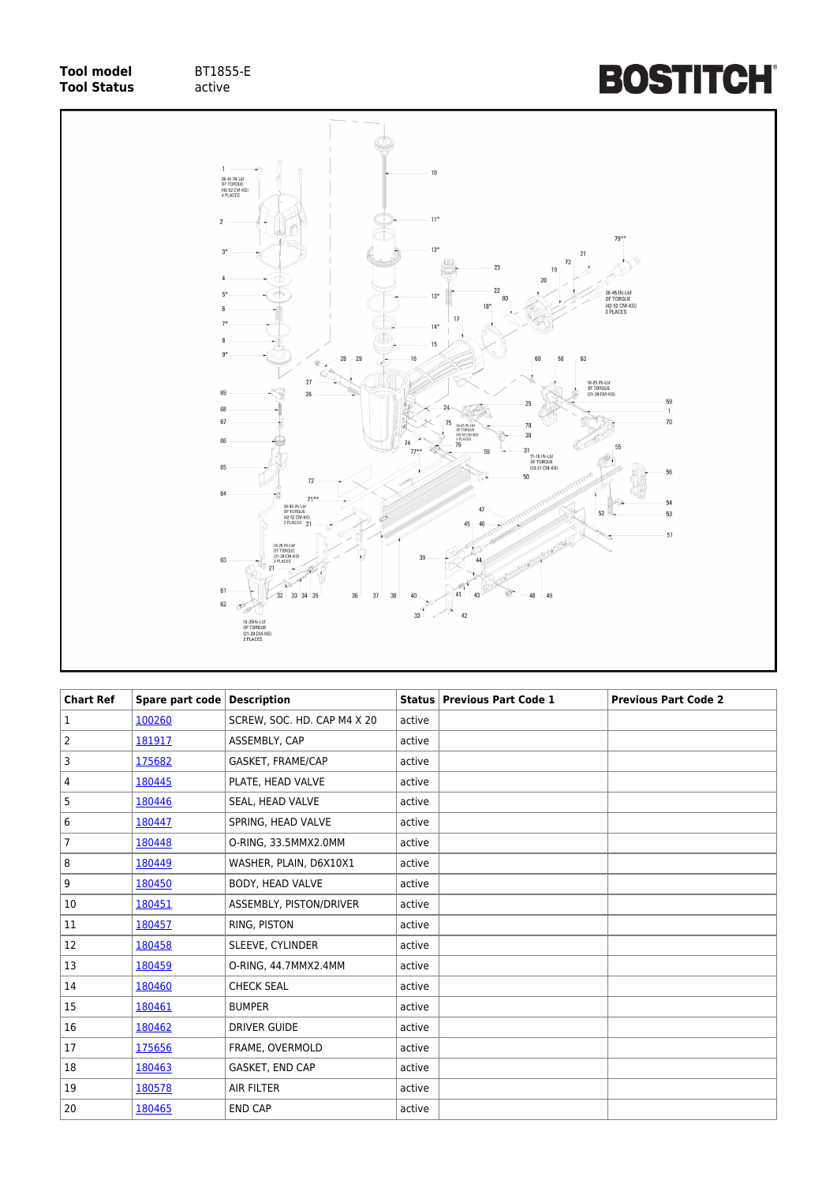## **Tool model** BT1855-E<br> **Tool Status** active **Tool Status**





| <b>Chart Ref</b> | Spare part code Description |                             |        | Status   Previous Part Code 1 | <b>Previous Part Code 2</b> |
|------------------|-----------------------------|-----------------------------|--------|-------------------------------|-----------------------------|
| 1                | 100260                      | SCREW, SOC. HD. CAP M4 X 20 | active |                               |                             |
| $\overline{2}$   | 181917                      | ASSEMBLY, CAP               | active |                               |                             |
| 3                | 175682                      | GASKET, FRAME/CAP           | active |                               |                             |
| 4                | 180445                      | PLATE, HEAD VALVE           | active |                               |                             |
| 5                | 180446                      | SEAL, HEAD VALVE            | active |                               |                             |
| 6                | 180447                      | SPRING, HEAD VALVE          | active |                               |                             |
| $\overline{7}$   | 180448                      | O-RING, 33.5MMX2.0MM        | active |                               |                             |
| 8                | 180449                      | WASHER, PLAIN, D6X10X1      | active |                               |                             |
| 9                | 180450                      | BODY, HEAD VALVE            | active |                               |                             |
| 10               | 180451                      | ASSEMBLY, PISTON/DRIVER     | active |                               |                             |
| 11               | 180457                      | RING, PISTON                | active |                               |                             |
| 12               | 180458                      | SLEEVE, CYLINDER            | active |                               |                             |
| 13               | 180459                      | O-RING, 44.7MMX2.4MM        | active |                               |                             |
| 14               | 180460                      | <b>CHECK SEAL</b>           | active |                               |                             |
| 15               | 180461                      | <b>BUMPER</b>               | active |                               |                             |
| 16               | 180462                      | <b>DRIVER GUIDE</b>         | active |                               |                             |
| 17               | 175656                      | FRAME, OVERMOLD             | active |                               |                             |
| 18               | 180463                      | GASKET, END CAP             | active |                               |                             |
| 19               | 180578                      | <b>AIR FILTER</b>           | active |                               |                             |
| 20               | 180465                      | <b>END CAP</b>              | active |                               |                             |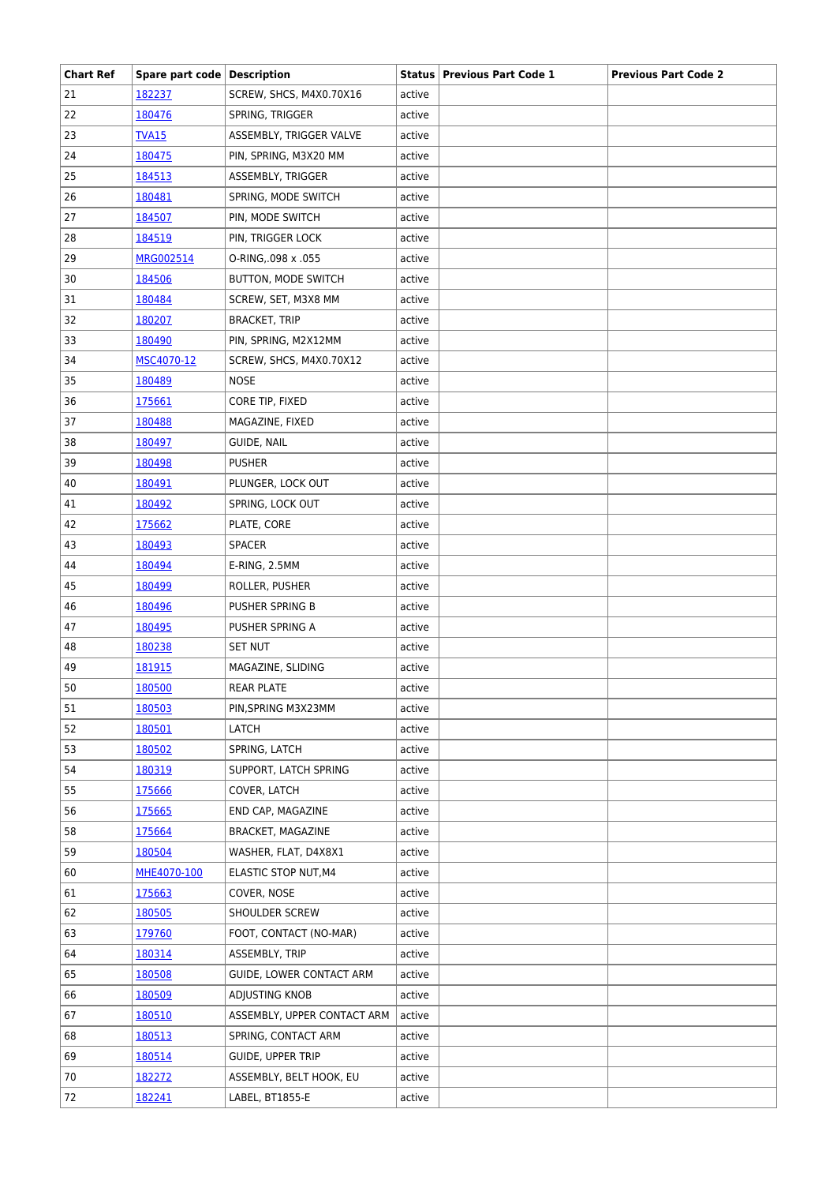| <b>Chart Ref</b> | Spare part code   Description |                             |        | <b>Status   Previous Part Code 1</b> | <b>Previous Part Code 2</b> |
|------------------|-------------------------------|-----------------------------|--------|--------------------------------------|-----------------------------|
| 21               | 182237                        | SCREW, SHCS, M4X0.70X16     | active |                                      |                             |
| 22               | 180476                        | SPRING, TRIGGER             | active |                                      |                             |
| 23               | <b>TVA15</b>                  | ASSEMBLY, TRIGGER VALVE     | active |                                      |                             |
| 24               | 180475                        | PIN, SPRING, M3X20 MM       | active |                                      |                             |
| 25               | 184513                        | ASSEMBLY, TRIGGER           | active |                                      |                             |
| 26               | 180481                        | SPRING, MODE SWITCH         | active |                                      |                             |
| 27               | 184507                        | PIN, MODE SWITCH            | active |                                      |                             |
| 28               | 184519                        | PIN, TRIGGER LOCK           | active |                                      |                             |
| 29               | MRG002514                     | O-RING, 098 x .055          | active |                                      |                             |
| 30               | 184506                        | BUTTON, MODE SWITCH         | active |                                      |                             |
| 31               | 180484                        | SCREW, SET, M3X8 MM         | active |                                      |                             |
| 32               | 180207                        | <b>BRACKET, TRIP</b>        | active |                                      |                             |
| 33               | 180490                        | PIN, SPRING, M2X12MM        | active |                                      |                             |
| 34               | MSC4070-12                    | SCREW, SHCS, M4X0.70X12     | active |                                      |                             |
| 35               | 180489                        | <b>NOSE</b>                 | active |                                      |                             |
| 36               | 175661                        | CORE TIP, FIXED             | active |                                      |                             |
| 37               | 180488                        | MAGAZINE, FIXED             | active |                                      |                             |
| 38               | 180497                        | GUIDE, NAIL                 | active |                                      |                             |
| 39               | 180498                        | <b>PUSHER</b>               | active |                                      |                             |
| 40               | 180491                        | PLUNGER, LOCK OUT           | active |                                      |                             |
| 41               | 180492                        | SPRING, LOCK OUT            | active |                                      |                             |
| 42               | 175662                        | PLATE, CORE                 | active |                                      |                             |
| 43               | 180493                        | <b>SPACER</b>               | active |                                      |                             |
| 44               | 180494                        | E-RING, 2.5MM               | active |                                      |                             |
| 45               | 180499                        | ROLLER, PUSHER              | active |                                      |                             |
| 46               | 180496                        | PUSHER SPRING B             | active |                                      |                             |
| 47               | 180495                        | PUSHER SPRING A             | active |                                      |                             |
| 48               | 180238                        | <b>SET NUT</b>              | active |                                      |                             |
| 49               | 181915                        | MAGAZINE, SLIDING           | active |                                      |                             |
| 50               | 180500                        | <b>REAR PLATE</b>           | active |                                      |                             |
| 51               | 180503                        | PIN, SPRING M3X23MM         | active |                                      |                             |
| 52               | 180501                        | LATCH                       | active |                                      |                             |
| 53               | 180502                        | SPRING, LATCH               | active |                                      |                             |
| 54               | 180319                        | SUPPORT, LATCH SPRING       | active |                                      |                             |
| 55               | 175666                        | COVER, LATCH                | active |                                      |                             |
| 56               | 175665                        | END CAP, MAGAZINE           | active |                                      |                             |
| 58               | 175664                        | <b>BRACKET, MAGAZINE</b>    | active |                                      |                             |
| 59               | 180504                        | WASHER, FLAT, D4X8X1        | active |                                      |                             |
| 60               | MHE4070-100                   | ELASTIC STOP NUT, M4        | active |                                      |                             |
| 61               | 175663                        | COVER, NOSE                 | active |                                      |                             |
| 62               | 180505                        | SHOULDER SCREW              |        |                                      |                             |
|                  |                               |                             | active |                                      |                             |
| 63               | 179760                        | FOOT, CONTACT (NO-MAR)      | active |                                      |                             |
| 64               | 180314                        | ASSEMBLY, TRIP              | active |                                      |                             |
| 65               | 180508                        | GUIDE, LOWER CONTACT ARM    | active |                                      |                             |
| 66               | 180509                        | ADJUSTING KNOB              | active |                                      |                             |
| 67               | 180510                        | ASSEMBLY, UPPER CONTACT ARM | active |                                      |                             |
| 68               | 180513                        | SPRING, CONTACT ARM         | active |                                      |                             |
| 69               | 180514                        | <b>GUIDE, UPPER TRIP</b>    | active |                                      |                             |
| 70               | 182272                        | ASSEMBLY, BELT HOOK, EU     | active |                                      |                             |
| 72               | 182241                        | LABEL, BT1855-E             | active |                                      |                             |